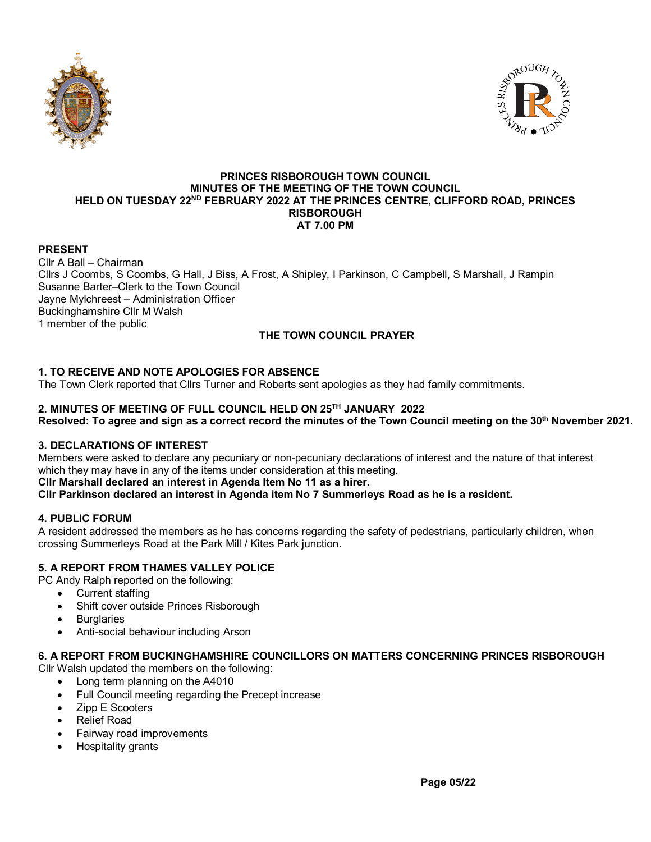



#### **PRINCES RISBOROUGH TOWN COUNCIL MINUTES OF THE MEETING OF THE TOWN COUNCIL HELD ON TUESDAY 22ND FEBRUARY 2022 AT THE PRINCES CENTRE, CLIFFORD ROAD, PRINCES RISBOROUGH AT 7.00 PM**

### **PRESENT**

Cllr A Ball – Chairman Cllrs J Coombs, S Coombs, G Hall, J Biss, A Frost, A Shipley, I Parkinson, C Campbell, S Marshall, J Rampin Susanne Barter–Clerk to the Town Council Jayne Mylchreest – Administration Officer Buckinghamshire Cllr M Walsh 1 member of the public

# **THE TOWN COUNCIL PRAYER**

# **1. TO RECEIVE AND NOTE APOLOGIES FOR ABSENCE**

The Town Clerk reported that Cllrs Turner and Roberts sent apologies as they had family commitments.

### **2. MINUTES OF MEETING OF FULL COUNCIL HELD ON 25TH JANUARY 2022**

**Resolved: To agree and sign as a correct record the minutes of the Town Council meeting on the 30th November 2021.**

### **3. DECLARATIONS OF INTEREST**

Members were asked to declare any pecuniary or non-pecuniary declarations of interest and the nature of that interest which they may have in any of the items under consideration at this meeting.

**Cllr Marshall declared an interest in Agenda Item No 11 as a hirer.**

**Cllr Parkinson declared an interest in Agenda item No 7 Summerleys Road as he is a resident.**

### **4. PUBLIC FORUM**

A resident addressed the members as he has concerns regarding the safety of pedestrians, particularly children, when crossing Summerleys Road at the Park Mill / Kites Park junction.

## **5. A REPORT FROM THAMES VALLEY POLICE**

PC Andy Ralph reported on the following:

- Current staffing
- Shift cover outside Princes Risborough
- **Burglaries**
- Anti-social behaviour including Arson

### **6. A REPORT FROM BUCKINGHAMSHIRE COUNCILLORS ON MATTERS CONCERNING PRINCES RISBOROUGH**

Cllr Walsh updated the members on the following:

- Long term planning on the A4010
- Full Council meeting regarding the Precept increase
- Zipp E Scooters
- Relief Road
- Fairway road improvements
- Hospitality grants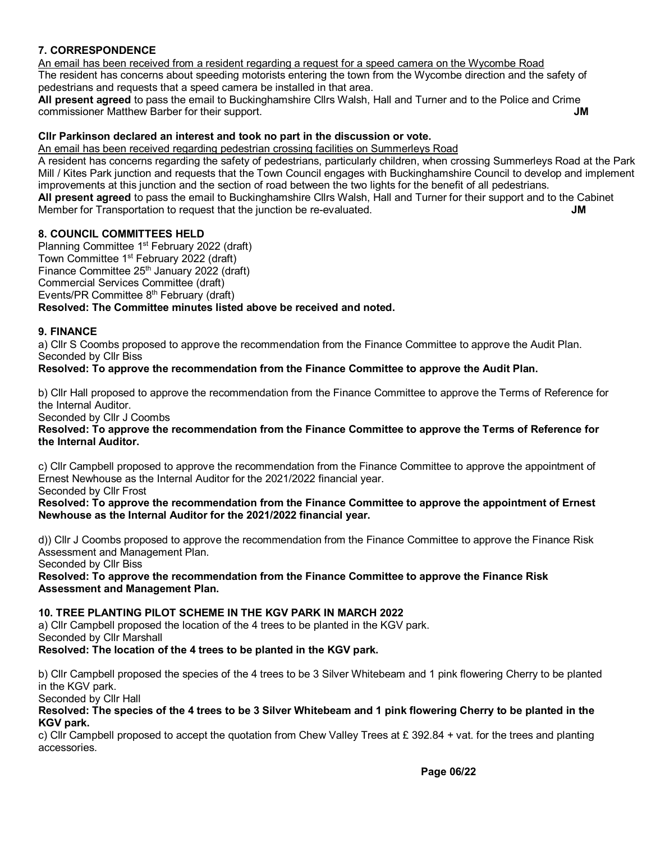# **7. CORRESPONDENCE**

An email has been received from a resident regarding a request for a speed camera on the Wycombe Road The resident has concerns about speeding motorists entering the town from the Wycombe direction and the safety of pedestrians and requests that a speed camera be installed in that area.

**All present agreed** to pass the email to Buckinghamshire Cllrs Walsh, Hall and Turner and to the Police and Crime commissioner Matthew Barber for their support. **JM**

### **Cllr Parkinson declared an interest and took no part in the discussion or vote.**

An email has been received regarding pedestrian crossing facilities on Summerleys Road A resident has concerns regarding the safety of pedestrians, particularly children, when crossing Summerleys Road at the Park Mill / Kites Park junction and requests that the Town Council engages with Buckinghamshire Council to develop and implement improvements at this junction and the section of road between the two lights for the benefit of all pedestrians. **All present agreed** to pass the email to Buckinghamshire Cllrs Walsh, Hall and Turner for their support and to the Cabinet Member for Transportation to request that the junction be re-evaluated. **JM** 

### **8. COUNCIL COMMITTEES HELD**

Planning Committee 1st February 2022 (draft) Town Committee 1<sup>st</sup> February 2022 (draft) Finance Committee 25<sup>th</sup> January 2022 (draft) Commercial Services Committee (draft) Events/PR Committee 8<sup>th</sup> February (draft) **Resolved: The Committee minutes listed above be received and noted.**

#### **9. FINANCE**

a) Cllr S Coombs proposed to approve the recommendation from the Finance Committee to approve the Audit Plan. Seconded by Cllr Biss

### **Resolved: To approve the recommendation from the Finance Committee to approve the Audit Plan.**

b) Cllr Hall proposed to approve the recommendation from the Finance Committee to approve the Terms of Reference for the Internal Auditor.

Seconded by Cllr J Coombs

**Resolved: To approve the recommendation from the Finance Committee to approve the Terms of Reference for the Internal Auditor.**

c) Cllr Campbell proposed to approve the recommendation from the Finance Committee to approve the appointment of Ernest Newhouse as the Internal Auditor for the 2021/2022 financial year. Seconded by Cllr Frost

**Resolved: To approve the recommendation from the Finance Committee to approve the appointment of Ernest Newhouse as the Internal Auditor for the 2021/2022 financial year.**

d)) Cllr J Coombs proposed to approve the recommendation from the Finance Committee to approve the Finance Risk Assessment and Management Plan.

Seconded by Cllr Biss

**Resolved: To approve the recommendation from the Finance Committee to approve the Finance Risk Assessment and Management Plan.**

### **10. TREE PLANTING PILOT SCHEME IN THE KGV PARK IN MARCH 2022**

a) Cllr Campbell proposed the location of the 4 trees to be planted in the KGV park. Seconded by Cllr Marshall

**Resolved: The location of the 4 trees to be planted in the KGV park.**

b) Cllr Campbell proposed the species of the 4 trees to be 3 Silver Whitebeam and 1 pink flowering Cherry to be planted in the KGV park.

Seconded by Cllr Hall

#### **Resolved: The species of the 4 trees to be 3 Silver Whitebeam and 1 pink flowering Cherry to be planted in the KGV park.**

c) Cllr Campbell proposed to accept the quotation from Chew Valley Trees at  $E$  392.84 + vat. for the trees and planting accessories.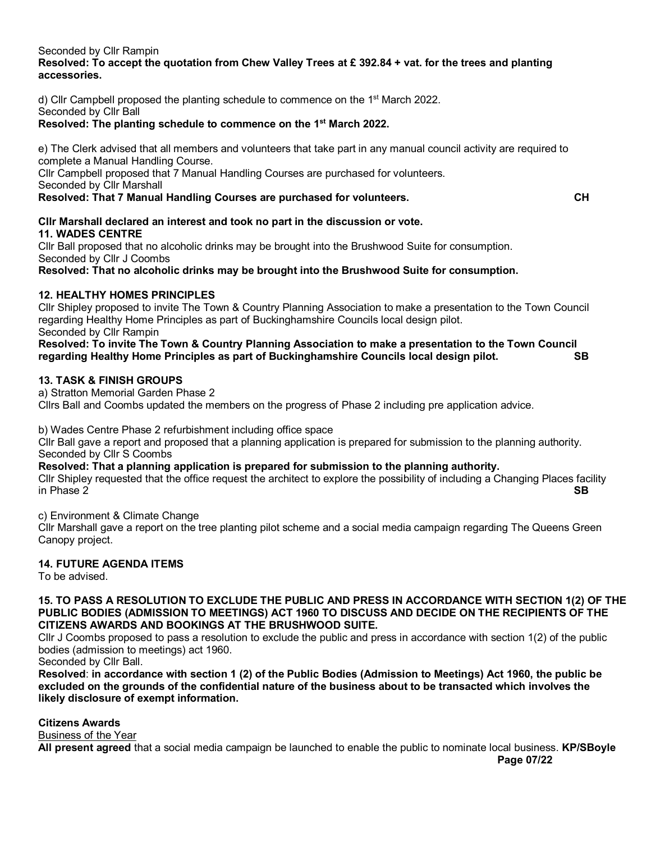Seconded by Cllr Rampin

### **Resolved: To accept the quotation from Chew Valley Trees at £ 392.84 + vat. for the trees and planting accessories.**

d) Cllr Campbell proposed the planting schedule to commence on the 1st March 2022. Seconded by Cllr Ball

### **Resolved: The planting schedule to commence on the 1st March 2022.**

e) The Clerk advised that all members and volunteers that take part in any manual council activity are required to complete a Manual Handling Course.

Cllr Campbell proposed that 7 Manual Handling Courses are purchased for volunteers. Seconded by Cllr Marshall

**Resolved: That 7 Manual Handling Courses are purchased for volunteers. CH**

**Cllr Marshall declared an interest and took no part in the discussion or vote. 11. WADES CENTRE**

Cllr Ball proposed that no alcoholic drinks may be brought into the Brushwood Suite for consumption. Seconded by Cllr J Coombs

**Resolved: That no alcoholic drinks may be brought into the Brushwood Suite for consumption.**

### **12. HEALTHY HOMES PRINCIPLES**

Cllr Shipley proposed to invite The Town & Country Planning Association to make a presentation to the Town Council regarding Healthy Home Principles as part of Buckinghamshire Councils local design pilot. Seconded by Cllr Rampin

**Resolved: To invite The Town & Country Planning Association to make a presentation to the Town Council regarding Healthy Home Principles as part of Buckinghamshire Councils local design pilot. SB**

## **13. TASK & FINISH GROUPS**

a) Stratton Memorial Garden Phase 2 Cllrs Ball and Coombs updated the members on the progress of Phase 2 including pre application advice.

b) Wades Centre Phase 2 refurbishment including office space

Cllr Ball gave a report and proposed that a planning application is prepared for submission to the planning authority. Seconded by Cllr S Coombs

**Resolved: That a planning application is prepared for submission to the planning authority.** Cllr Shipley requested that the office request the architect to explore the possibility of including a Changing Places facility in Phase 2 in Phase 2 **SB**

c) Environment & Climate Change

Cllr Marshall gave a report on the tree planting pilot scheme and a social media campaign regarding The Queens Green Canopy project.

### **14. FUTURE AGENDA ITEMS**

To be advised.

#### **15. TO PASS A RESOLUTION TO EXCLUDE THE PUBLIC AND PRESS IN ACCORDANCE WITH SECTION 1(2) OF THE PUBLIC BODIES (ADMISSION TO MEETINGS) ACT 1960 TO DISCUSS AND DECIDE ON THE RECIPIENTS OF THE CITIZENS AWARDS AND BOOKINGS AT THE BRUSHWOOD SUITE.**

Cllr J Coombs proposed to pass a resolution to exclude the public and press in accordance with section 1(2) of the public bodies (admission to meetings) act 1960.

Seconded by Cllr Ball.

**Resolved**: **in accordance with section 1 (2) of the Public Bodies (Admission to Meetings) Act 1960, the public be excluded on the grounds of the confidential nature of the business about to be transacted which involves the likely disclosure of exempt information.**

**Citizens Awards**

Business of the Year

**All present agreed** that a social media campaign be launched to enable the public to nominate local business. **KP/SBoyle**

**Page 07/22**